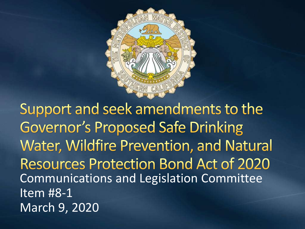

Support and seek amendments to the **Governor's Proposed Safe Drinking** Water, Wildfire Prevention, and Natural **Resources Protection Bond Act of 2020** Communications and Legislation Committee Item #8-1 March 9, 2020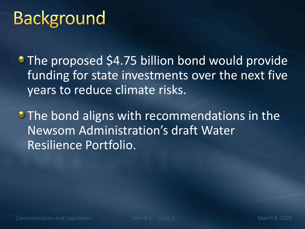# **Background**

• The proposed \$4.75 billion bond would provide funding for state investments over the next five years to reduce climate risks.

**• The bond aligns with recommendations in the** Newsom Administration's draft Water Resilience Portfolio.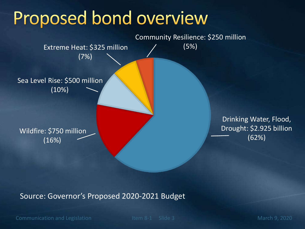## Proposed bond overview



Source: Governor's Proposed 2020-2021 Budget

Communication and Legislation and Legislation Item 8-1 Slide 3 March 9, 2020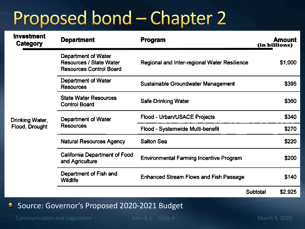# Proposed bond - Chapter 2

| <b>Investment</b><br>Category     | <b>Department</b>                                                                       | Program                                        |          | <b>Amount</b><br>(in billions) |
|-----------------------------------|-----------------------------------------------------------------------------------------|------------------------------------------------|----------|--------------------------------|
| Drinking Water,<br>Flood, Drought | Department of Water<br><b>Resources / State Water</b><br><b>Resources Control Board</b> | Regional and Inter-regional Water Resilience   |          | \$1,000                        |
|                                   | Department of Water<br><b>Resources</b>                                                 | Sustainable Groundwater Management             |          | \$395                          |
|                                   | <b>State Water Resources</b><br><b>Control Board</b>                                    | <b>Safe Drinking Water</b>                     |          | \$360                          |
|                                   | Department of Water<br><b>Resources</b>                                                 | Flood - Urban/USACE Projects                   |          | \$340                          |
|                                   |                                                                                         | Flood - Systemwide Multi-benefit               |          | \$270                          |
|                                   | <b>Natural Resources Agency</b>                                                         | Salton Sea                                     |          | \$220                          |
|                                   | California Department of Food<br>and Agriculture                                        | <b>Environmental Farming Incentive Program</b> |          | \$200                          |
|                                   | Department of Fish and<br><b>Wildlife</b>                                               | <b>Enhanced Stream Flows and Fish Passage</b>  |          | \$140                          |
|                                   |                                                                                         |                                                | Subtotal | \$2,925                        |

Source: Governor's Proposed 2020-2021 Budget  $\bullet$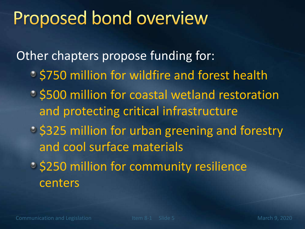## Proposed bond overview

Other chapters propose funding for:

- **S750 million for wildfire and forest health**
- **S500 million for coastal wetland restoration** and protecting critical infrastructure
- **S325 million for urban greening and forestry** and cool surface materials
- **S250 million for community resilience** centers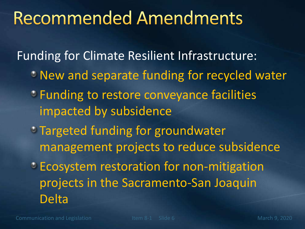## **Recommended Amendments**

Funding for Climate Resilient Infrastructure:

- New and separate funding for recycled water
- Funding to restore conveyance facilities impacted by subsidence
- Targeted funding for groundwater management projects to reduce subsidence

Ecosystem restoration for non-mitigation projects in the Sacramento-San Joaquin Delta

Communication and Legislation and Legislation Item 8-1 Slide 6 March 9, 2020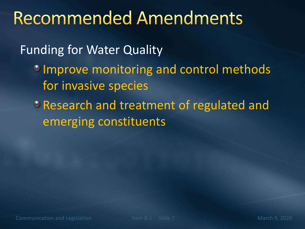#### **Recommended Amendments**

Funding for Water Quality

- **Improve monitoring and control methods** for invasive species
- Research and treatment of regulated and emerging constituents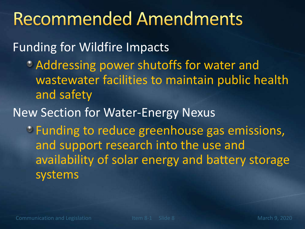#### **Recommended Amendments**

#### Funding for Wildfire Impacts

Addressing power shutoffs for water and wastewater facilities to maintain public health and safety

#### New Section for Water-Energy Nexus

Funding to reduce greenhouse gas emissions, and support research into the use and availability of solar energy and battery storage systems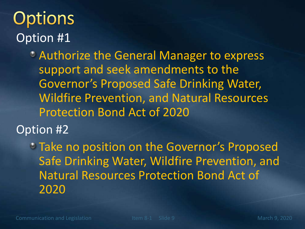#### Options Option #1

Authorize the General Manager to express support and seek amendments to the Governor's Proposed Safe Drinking Water, Wildfire Prevention, and Natural Resources Protection Bond Act of 2020

Option #2

Take no position on the Governor's Proposed Safe Drinking Water, Wildfire Prevention, and Natural Resources Protection Bond Act of 2020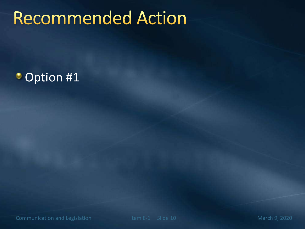## **Recommended Action**

**Option #1** 

Communication and Legislation **Item 8-1** Slide 10 March 9, 2020